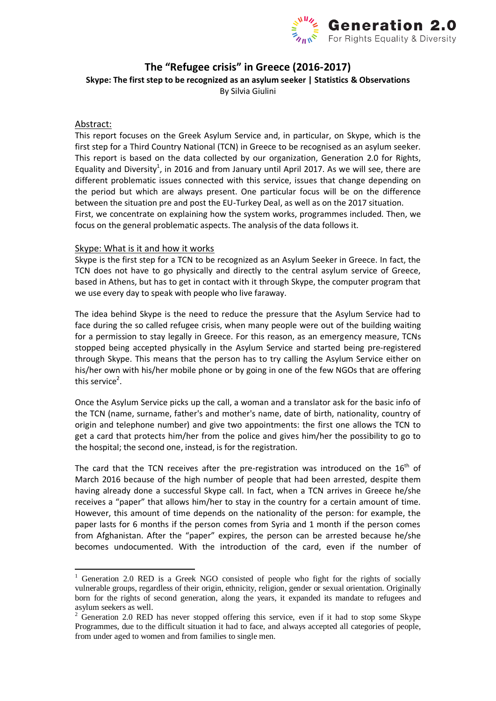

### **The "Refugee crisis" in Greece (2016-2017)**

**Skype: The first step to be recognized as an asylum seeker | Statistics & Observations**

By Silvia Giulini

#### Abstract:

-

This report focuses on the Greek Asylum Service and, in particular, on Skype, which is the first step for a Third Country National (TCN) in Greece to be recognised as an asylum seeker. This report is based on the data collected by our organization, Generation 2.0 for Rights, Equality and Diversity<sup>1</sup>, in 2016 and from January until April 2017. As we will see, there are different problematic issues connected with this service, issues that change depending on the period but which are always present. One particular focus will be on the difference between the situation pre and post the EU-Turkey Deal, as well as on the 2017 situation. First, we concentrate on explaining how the system works, programmes included. Then, we focus on the general problematic aspects. The analysis of the data follows it.

#### Skype: What is it and how it works

Skype is the first step for a TCN to be recognized as an Asylum Seeker in Greece. In fact, the TCN does not have to go physically and directly to the central asylum service of Greece, based in Athens, but has to get in contact with it through Skype, the computer program that we use every day to speak with people who live faraway.

The idea behind Skype is the need to reduce the pressure that the Asylum Service had to face during the so called refugee crisis, when many people were out of the building waiting for a permission to stay legally in Greece. For this reason, as an emergency measure, TCNs stopped being accepted physically in the Asylum Service and started being pre-registered through Skype. This means that the person has to try calling the Asylum Service either on his/her own with his/her mobile phone or by going in one of the few NGOs that are offering this service<sup>2</sup>.

Once the Asylum Service picks up the call, a woman and a translator ask for the basic info of the TCN (name, surname, father's and mother's name, date of birth, nationality, country of origin and telephone number) and give two appointments: the first one allows the TCN to get a card that protects him/her from the police and gives him/her the possibility to go to the hospital; the second one, instead, is for the registration.

The card that the TCN receives after the pre-registration was introduced on the  $16<sup>th</sup>$  of March 2016 because of the high number of people that had been arrested, despite them having already done a successful Skype call. In fact, when a TCN arrives in Greece he/she receives a "paper" that allows him/her to stay in the country for a certain amount of time. However, this amount of time depends on the nationality of the person: for example, the paper lasts for 6 months if the person comes from Syria and 1 month if the person comes from Afghanistan. After the "paper" expires, the person can be arrested because he/she becomes undocumented. With the introduction of the card, even if the number of

 $1$  Generation 2.0 RED is a Greek NGO consisted of people who fight for the rights of socially vulnerable groups, regardless of their origin, ethnicity, religion, gender or sexual orientation. Originally born for the rights of second generation, along the years, it expanded its mandate to refugees and asylum seekers as well.

 $2\degree$  Generation 2.0 RED has never stopped offering this service, even if it had to stop some Skype Programmes, due to the difficult situation it had to face, and always accepted all categories of people, from under aged to women and from families to single men.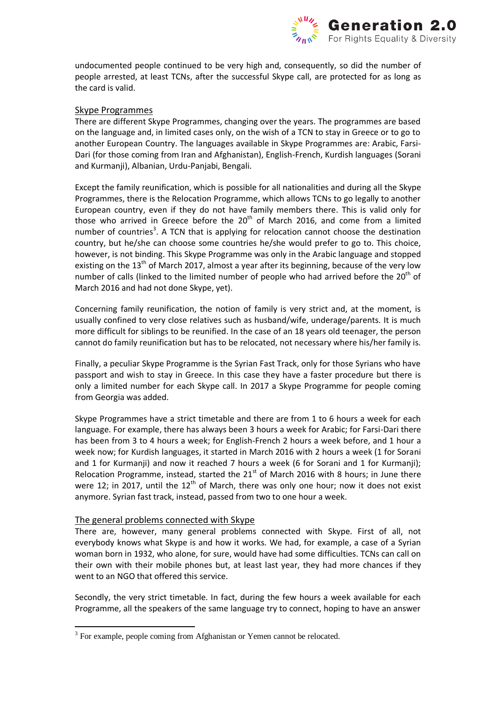

undocumented people continued to be very high and, consequently, so did the number of people arrested, at least TCNs, after the successful Skype call, are protected for as long as the card is valid.

#### Skype Programmes

There are different Skype Programmes, changing over the years. The programmes are based on the language and, in limited cases only, on the wish of a TCN to stay in Greece or to go to another European Country. The languages available in Skype Programmes are: Arabic, Farsi-Dari (for those coming from Iran and Afghanistan), English-French, Kurdish languages (Sorani and Kurmanji), Albanian, Urdu-Panjabi, Bengali.

Except the family reunification, which is possible for all nationalities and during all the Skype Programmes, there is the Relocation Programme, which allows TCNs to go legally to another European country, even if they do not have family members there. This is valid only for those who arrived in Greece before the  $20<sup>th</sup>$  of March 2016, and come from a limited number of countries<sup>3</sup>. A TCN that is applying for relocation cannot choose the destination country, but he/she can choose some countries he/she would prefer to go to. This choice, however, is not binding. This Skype Programme was only in the Arabic language and stopped existing on the  $13<sup>th</sup>$  of March 2017, almost a year after its beginning, because of the very low number of calls (linked to the limited number of people who had arrived before the  $20<sup>th</sup>$  of March 2016 and had not done Skype, yet).

Concerning family reunification, the notion of family is very strict and, at the moment, is usually confined to very close relatives such as husband/wife, underage/parents. It is much more difficult for siblings to be reunified. In the case of an 18 years old teenager, the person cannot do family reunification but has to be relocated, not necessary where his/her family is.

Finally, a peculiar Skype Programme is the Syrian Fast Track, only for those Syrians who have passport and wish to stay in Greece. In this case they have a faster procedure but there is only a limited number for each Skype call. In 2017 a Skype Programme for people coming from Georgia was added.

Skype Programmes have a strict timetable and there are from 1 to 6 hours a week for each language. For example, there has always been 3 hours a week for Arabic; for Farsi-Dari there has been from 3 to 4 hours a week; for English-French 2 hours a week before, and 1 hour a week now; for Kurdish languages, it started in March 2016 with 2 hours a week (1 for Sorani and 1 for Kurmanji) and now it reached 7 hours a week (6 for Sorani and 1 for Kurmanji); Relocation Programme, instead, started the  $21<sup>st</sup>$  of March 2016 with 8 hours; in June there were 12; in 2017, until the  $12<sup>th</sup>$  of March, there was only one hour; now it does not exist anymore. Syrian fast track, instead, passed from two to one hour a week.

#### The general problems connected with Skype

There are, however, many general problems connected with Skype. First of all, not everybody knows what Skype is and how it works. We had, for example, a case of a Syrian woman born in 1932, who alone, for sure, would have had some difficulties. TCNs can call on their own with their mobile phones but, at least last year, they had more chances if they went to an NGO that offered this service.

Secondly, the very strict timetable. In fact, during the few hours a week available for each Programme, all the speakers of the same language try to connect, hoping to have an answer

<sup>&</sup>lt;sup>3</sup> For example, people coming from Afghanistan or Yemen cannot be relocated.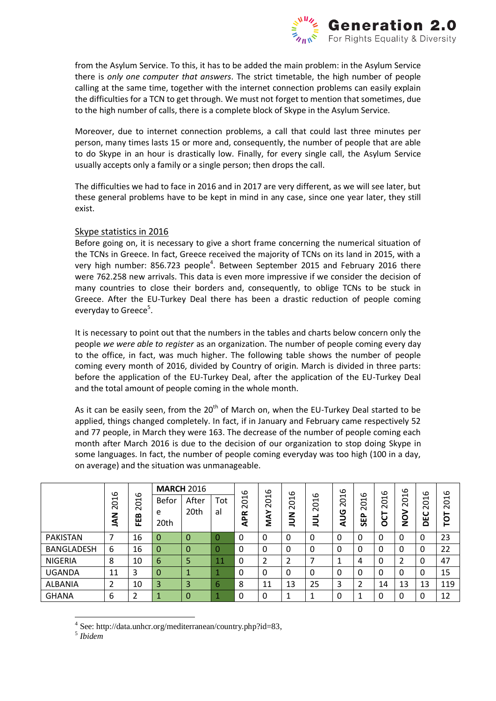

from the Asylum Service. To this, it has to be added the main problem: in the Asylum Service there is *only one computer that answers*. The strict timetable, the high number of people calling at the same time, together with the internet connection problems can easily explain the difficulties for a TCN to get through. We must not forget to mention that sometimes, due to the high number of calls, there is a complete block of Skype in the Asylum Service.

Moreover, due to internet connection problems, a call that could last three minutes per person, many times lasts 15 or more and, consequently, the number of people that are able to do Skype in an hour is drastically low. Finally, for every single call, the Asylum Service usually accepts only a family or a single person; then drops the call.

The difficulties we had to face in 2016 and in 2017 are very different, as we will see later, but these general problems have to be kept in mind in any case, since one year later, they still exist.

#### Skype statistics in 2016

Before going on, it is necessary to give a short frame concerning the numerical situation of the TCNs in Greece. In fact, Greece received the majority of TCNs on its land in 2015, with a very high number: 856.723 people<sup>4</sup>. Between September 2015 and February 2016 there were 762.258 new arrivals. This data is even more impressive if we consider the decision of many countries to close their borders and, consequently, to oblige TCNs to be stuck in Greece. After the EU-Turkey Deal there has been a drastic reduction of people coming everyday to Greece<sup>5</sup>.

It is necessary to point out that the numbers in the tables and charts below concern only the people *we were able to register* as an organization. The number of people coming every day to the office, in fact, was much higher. The following table shows the number of people coming every month of 2016, divided by Country of origin. March is divided in three parts: before the application of the EU-Turkey Deal, after the application of the EU-Turkey Deal and the total amount of people coming in the whole month.

As it can be easily seen, from the  $20<sup>th</sup>$  of March on, when the EU-Turkey Deal started to be applied, things changed completely. In fact, if in January and February came respectively 52 and 77 people, in March they were 163. The decrease of the number of people coming each month after March 2016 is due to the decision of our organization to stop doing Skype in some languages. In fact, the number of people coming everyday was too high (100 in a day, on average) and the situation was unmanageable.

|                   | ဖ           | ဖ                                  | <b>MARCH 2016</b>  |               |           | စ                 | ဖ                 | ഄ                                                              |                                               | ဖ             | ഄ                                                  | ဖ                                                       | ဖ                                               | ဖ             |             |
|-------------------|-------------|------------------------------------|--------------------|---------------|-----------|-------------------|-------------------|----------------------------------------------------------------|-----------------------------------------------|---------------|----------------------------------------------------|---------------------------------------------------------|-------------------------------------------------|---------------|-------------|
| 5<br>≤            | $\sim$<br>z | $\overline{c}$<br>$\sim$<br>≃<br>뿐 | Befor<br>e<br>20th | After<br>20th | Tot<br>al | 201<br><b>APR</b> | <b>201</b><br>MAY | $\overline{\phantom{0}}$<br>$\circ$<br>$\sim$<br>z<br>$\equiv$ | ഄ<br>$\blacksquare$<br>$\circ$<br>$\sim$<br>┙ | 201<br>S<br>๔ | $\overline{\phantom{0}}$<br>Ö<br>$\sim$<br>௳<br>59 | $\overline{\phantom{0}}$<br>$\circ$<br>$\sim$<br>Ⴆ<br>O | $\overline{\phantom{0}}$<br>$\overline{5}$<br>ğ | 201<br>ပ<br>ă | 2016<br>TOT |
| <b>PAKISTAN</b>   | ⇁           | 16                                 | 0                  | 0             |           | $\Omega$          | 0                 | 0                                                              | 0                                             | 0             |                                                    | 0                                                       | 0                                               | 0             | 23          |
| <b>BANGLADESH</b> | 6           | 16                                 | 0                  | 0             | 0         | $\Omega$          | 0                 | 0                                                              | 0                                             | 0             |                                                    | $\Omega$                                                | 0                                               | 0             | 22          |
| <b>NIGERIA</b>    | 8           | 10                                 | 6                  | 5             | 11        | $\Omega$          | 2                 | 2                                                              |                                               |               | 4                                                  | 0                                                       | 2                                               | $\Omega$      | 47          |
| <b>UGANDA</b>     | 11          | 3                                  | 0                  |               |           | $\Omega$          | 0                 | 0                                                              | 0                                             | 0             | υ                                                  | $\Omega$                                                | 0                                               | 0             | 15          |
| <b>ALBANIA</b>    | 2           | 10                                 | 3                  | 3             | 6         | 8                 | 11                | 13                                                             | 25                                            | 3             | ำ                                                  | 14                                                      | 13                                              | 13            | 119         |
| <b>GHANA</b>      | 6           |                                    |                    | 0             |           | $\Omega$          | 0                 | л                                                              |                                               | 0             |                                                    | $\Omega$                                                | 0                                               | 0             | 12          |

<sup>-</sup>4 See: http://data.unhcr.org/mediterranean/country.php?id=83,

<sup>5</sup> *Ibidem*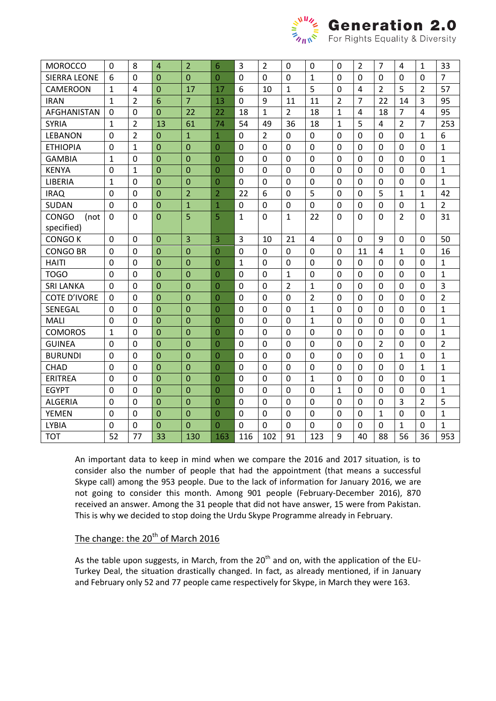

# $\frac{M}{\epsilon}$  **Generation 2.0**<br>Cor Rights Equality & Diversity

| <b>MOROCCO</b>       | $\mathbf 0$  | 8              | $\overline{4}$ | $\overline{2}$ | 6              | 3              | $\overline{2}$ | $\mathbf 0$    | 0                       | $\mathbf{0}$   | $\overline{2}$ | $\overline{7}$ | $\overline{4}$ | $\mathbf{1}$   | 33             |
|----------------------|--------------|----------------|----------------|----------------|----------------|----------------|----------------|----------------|-------------------------|----------------|----------------|----------------|----------------|----------------|----------------|
| <b>SIERRA LEONE</b>  | 6            | $\mathbf 0$    | $\overline{0}$ | $\overline{0}$ | $\Omega$       | $\overline{0}$ | $\mathbf 0$    | $\mathbf 0$    | 1                       | $\mathbf 0$    | $\mathbf 0$    | $\mathbf 0$    | $\mathbf 0$    | $\overline{0}$ | $\overline{7}$ |
| <b>CAMEROON</b>      | $\mathbf{1}$ | $\overline{4}$ | $\overline{0}$ | 17             | 17             | 6              | 10             | $\mathbf 1$    | 5                       | $\mathbf 0$    | $\overline{4}$ | $\overline{2}$ | 5              | $\overline{2}$ | 57             |
| <b>IRAN</b>          | $\mathbf 1$  | $\overline{2}$ | 6              | $\overline{7}$ | 13             | $\overline{0}$ | 9              | 11             | 11                      | $\overline{2}$ | $\overline{7}$ | 22             | 14             | 3              | 95             |
| AFGHANISTAN          | $\mathbf 0$  | $\overline{0}$ | $\overline{0}$ | 22             | 22             | 18             | $\mathbf{1}$   | $\overline{2}$ | 18                      | $\mathbf{1}$   | 4              | 18             | $\overline{7}$ | 4              | 95             |
| <b>SYRIA</b>         | $\mathbf{1}$ | $\overline{2}$ | 13             | 61             | 74             | 54             | 49             | 36             | 18                      | $\mathbf{1}$   | 5              | $\overline{4}$ | $\overline{2}$ | $\overline{7}$ | 253            |
| <b>LEBANON</b>       | $\mathbf 0$  | $\overline{2}$ | $\overline{0}$ | $\mathbf{1}$   | $\mathbf{1}$   | $\overline{0}$ | $\overline{2}$ | $\overline{0}$ | $\mathbf 0$             | $\mathbf 0$    | 0              | $\mathbf 0$    | $\mathbf 0$    | $\mathbf{1}$   | 6              |
| <b>ETHIOPIA</b>      | $\mathbf 0$  | $\mathbf{1}$   | $\Omega$       | $\overline{0}$ | $\overline{0}$ | $\Omega$       | $\overline{0}$ | $\Omega$       | $\overline{0}$          | $\mathbf{0}$   | $\overline{0}$ | $\mathbf 0$    | $\mathbf{0}$   | $\Omega$       | $\mathbf{1}$   |
| <b>GAMBIA</b>        | $\mathbf{1}$ | $\mathbf 0$    | $\overline{0}$ | $\overline{0}$ | $\overline{0}$ | $\overline{0}$ | $\mathbf 0$    | $\mathbf 0$    | 0                       | $\mathbf 0$    | $\mathbf 0$    | $\mathbf 0$    | $\mathbf 0$    | 0              | $\mathbf{1}$   |
| <b>KENYA</b>         | 0            | $\mathbf{1}$   | $\overline{0}$ | $\overline{0}$ | 0              | $\mathbf 0$    | $\mathbf 0$    | $\mathbf 0$    | 0                       | $\mathbf 0$    | $\mathbf 0$    | $\mathbf 0$    | $\mathbf 0$    | $\overline{0}$ | $\mathbf{1}$   |
| LIBERIA              | $\mathbf{1}$ | $\mathbf 0$    | $\overline{0}$ | $\overline{0}$ | $\overline{0}$ | $\mathbf 0$    | $\mathbf 0$    | $\mathbf 0$    | 0                       | $\mathbf 0$    | $\mathbf 0$    | $\mathbf 0$    | $\mathbf 0$    | $\overline{0}$ | $\mathbf{1}$   |
| <b>IRAQ</b>          | $\mathbf 0$  | $\overline{0}$ | $\overline{0}$ | $\overline{2}$ | $\overline{2}$ | 22             | 6              | $\overline{0}$ | 5                       | $\mathbf 0$    | $\overline{0}$ | 5              | $\mathbf{1}$   | $\mathbf{1}$   | 42             |
| <b>SUDAN</b>         | $\mathbf 0$  | $\Omega$       | $\overline{0}$ | $\mathbf{1}$   | $\mathbf 1$    | $\mathbf 0$    | $\mathbf 0$    | $\mathbf 0$    | $\overline{0}$          | $\mathbf 0$    | $\mathbf 0$    | $\mathbf 0$    | $\Omega$       | $\mathbf{1}$   | $\overline{2}$ |
| <b>CONGO</b><br>(not | $\mathbf 0$  | $\mathbf 0$    | $\overline{0}$ | 5              | 5              | $\mathbf{1}$   | $\overline{0}$ | $\mathbf{1}$   | 22                      | $\Omega$       | $\mathbf 0$    | $\mathbf 0$    | $\overline{2}$ | $\Omega$       | 31             |
| specified)           |              |                |                |                |                |                |                |                |                         |                |                |                |                |                |                |
| <b>CONGO K</b>       | $\mathbf 0$  | $\mathbf 0$    | $\overline{0}$ | 3              | 3              | 3              | 10             | 21             | $\overline{\mathbf{4}}$ | $\mathbf 0$    | $\mathbf 0$    | 9              | $\mathbf 0$    | $\mathbf 0$    | 50             |
| <b>CONGO BR</b>      | $\mathbf 0$  | $\mathbf 0$    | $\overline{0}$ | $\overline{0}$ | $\overline{0}$ | $\mathbf 0$    | $\mathbf 0$    | $\mathbf 0$    | 0                       | $\mathbf 0$    | 11             | $\overline{4}$ | $\mathbf 1$    | $\overline{0}$ | 16             |
| <b>HAITI</b>         | 0            | $\mathbf 0$    | $\overline{0}$ | $\overline{0}$ | $\overline{0}$ | $\mathbf{1}$   | $\mathbf 0$    | $\mathbf 0$    | $\mathbf 0$             | $\mathbf 0$    | $\mathbf 0$    | $\mathbf 0$    | $\mathbf 0$    | $\overline{0}$ | $\mathbf{1}$   |
| <b>TOGO</b>          | $\mathbf 0$  | $\mathbf 0$    | $\overline{0}$ | $\overline{0}$ | $\overline{0}$ | $\overline{0}$ | $\mathbf 0$    | $\mathbf{1}$   | 0                       | $\mathbf 0$    | $\mathbf 0$    | $\mathbf 0$    | $\mathbf 0$    | $\Omega$       | $\mathbf{1}$   |
| <b>SRI LANKA</b>     | 0            | $\mathbf 0$    | $\overline{0}$ | $\overline{0}$ | $\overline{0}$ | $\Omega$       | $\mathbf 0$    | $\overline{2}$ | 1                       | $\mathbf 0$    | $\mathbf 0$    | 0              | $\Omega$       | $\Omega$       | 3              |
| <b>COTE D'IVORE</b>  | 0            | $\mathbf 0$    | $\overline{0}$ | $\overline{0}$ | $\overline{0}$ | $\Omega$       | $\mathbf 0$    | $\mathbf 0$    | $\overline{2}$          | $\mathbf 0$    | $\Omega$       | 0              | $\Omega$       | 0              | $\overline{2}$ |
| SENEGAL              | $\Omega$     | $\Omega$       | $\overline{0}$ | $\overline{0}$ | $\overline{0}$ | $\Omega$       | $\mathbf 0$    | $\mathbf 0$    | $\mathbf{1}$            | $\mathbf 0$    | $\mathbf 0$    | $\Omega$       | $\Omega$       | $\Omega$       | $\mathbf{1}$   |
| <b>MALI</b>          | $\mathbf 0$  | $\mathbf 0$    | $\overline{0}$ | $\overline{0}$ | $\overline{0}$ | $\overline{0}$ | $\mathbf 0$    | $\mathbf 0$    | $\mathbf{1}$            | $\mathbf 0$    | $\mathbf 0$    | $\mathbf 0$    | $\mathbf 0$    | $\mathbf 0$    | $\mathbf{1}$   |
| <b>COMOROS</b>       | $\mathbf{1}$ | $\mathbf 0$    | $\overline{0}$ | $\overline{0}$ | $\overline{0}$ | $\overline{0}$ | $\mathbf 0$    | $\overline{0}$ | $\mathbf 0$             | $\overline{0}$ | $\overline{0}$ | $\mathbf 0$    | $\mathbf 0$    | 0              | $\mathbf{1}$   |
| <b>GUINEA</b>        | $\mathbf 0$  | $\mathbf 0$    | $\overline{0}$ | $\overline{0}$ | $\overline{0}$ | $\overline{0}$ | $\overline{0}$ | $\mathbf 0$    | $\mathbf 0$             | $\mathbf 0$    | $\mathbf 0$    | $\overline{2}$ | $\mathbf 0$    | 0              | $\overline{2}$ |
| <b>BURUNDI</b>       | 0            | $\mathbf 0$    | $\overline{0}$ | $\overline{0}$ | $\overline{0}$ | $\mathbf 0$    | $\mathbf 0$    | $\mathbf 0$    | 0                       | $\mathbf 0$    | $\mathbf 0$    | $\mathbf 0$    | $\mathbf{1}$   | 0              | $\mathbf{1}$   |
| <b>CHAD</b>          | 0            | $\mathbf 0$    | $\overline{0}$ | $\overline{0}$ | $\overline{0}$ | $\overline{0}$ | $\overline{0}$ | $\overline{0}$ | 0                       | $\mathbf 0$    | $\overline{0}$ | $\mathbf 0$    | $\mathbf 0$    | $\mathbf{1}$   | $\mathbf{1}$   |
| <b>ERITREA</b>       | 0            | $\mathbf 0$    | $\overline{0}$ | $\overline{0}$ | $\overline{0}$ | $\Omega$       | $\mathbf 0$    | $\Omega$       | 1                       | $\mathbf 0$    | $\mathbf 0$    | 0              | $\Omega$       | $\Omega$       | $\mathbf{1}$   |
| <b>EGYPT</b>         | $\mathbf 0$  | $\overline{0}$ | $\overline{0}$ | $\overline{0}$ | $\Omega$       | $\Omega$       | $\mathbf 0$    | $\mathbf 0$    | 0                       | $\mathbf 1$    | $\Omega$       | 0              | $\Omega$       | 0              | $\mathbf{1}$   |
| <b>ALGERIA</b>       | 0            | $\mathbf 0$    | $\mathbf{0}$   | $\overline{0}$ | 0              | $\mathbf 0$    | $\mathbf 0$    | $\mathbf 0$    | 0                       | $\mathbf 0$    | $\mathbf 0$    | $\mathbf 0$    | 3              | $\overline{2}$ | 5              |
| <b>YEMEN</b>         | $\mathbf 0$  | $\mathbf 0$    | $\overline{0}$ | $\overline{0}$ | $\overline{0}$ | $\mathbf 0$    | $\mathbf 0$    | $\mathbf 0$    | 0                       | $\mathbf 0$    | 0              | $\mathbf{1}$   | $\mathbf 0$    | 0              | $\mathbf{1}$   |
| <b>LYBIA</b>         | 0            | $\mathbf 0$    | $\mathbf{0}$   | $\overline{0}$ | $\overline{0}$ | $\overline{0}$ | $\mathbf 0$    | $\mathbf 0$    | $\mathbf 0$             | $\mathbf 0$    | $\Omega$       | $\mathbf 0$    | $\mathbf{1}$   | 0              | $\mathbf{1}$   |
| <b>TOT</b>           | 52           | 77             | 33             | 130            | 163            | 116            | 102            | 91             | 123                     | 9              | 40             | 88             | 56             | 36             | 953            |

An important data to keep in mind when we compare the 2016 and 2017 situation, is to consider also the number of people that had the appointment (that means a successful Skype call) among the 953 people. Due to the lack of information for January 2016, we are not going to consider this month. Among 901 people (February-December 2016), 870 received an answer. Among the 31 people that did not have answer, 15 were from Pakistan. This is why we decided to stop doing the Urdu Skype Programme already in February.

## The change: the 20<sup>th</sup> of March 2016

As the table upon suggests, in March, from the  $20<sup>th</sup>$  and on, with the application of the EU-Turkey Deal, the situation drastically changed. In fact, as already mentioned, if in January and February only 52 and 77 people came respectively for Skype, in March they were 163.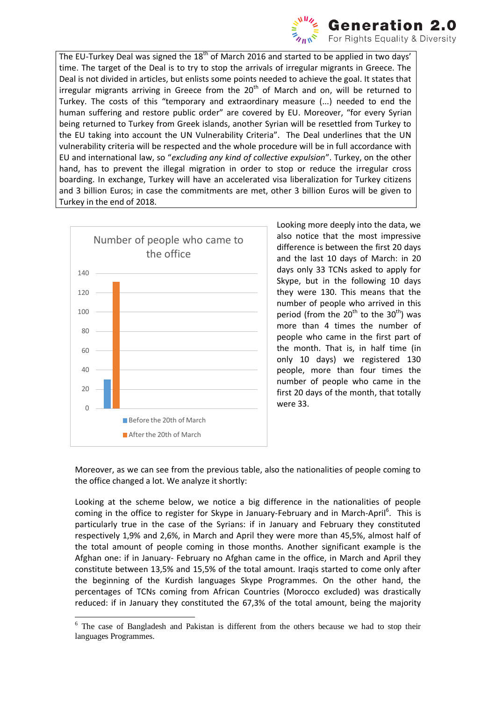

The EU-Turkey Deal was signed the  $18<sup>th</sup>$  of March 2016 and started to be applied in two days' time. The target of the Deal is to try to stop the arrivals of irregular migrants in Greece. The Deal is not divided in articles, but enlists some points needed to achieve the goal. It states that irregular migrants arriving in Greece from the  $20<sup>th</sup>$  of March and on, will be returned to Turkey. The costs of this "temporary and extraordinary measure (...) needed to end the human suffering and restore public order" are covered by EU. Moreover, "for every Syrian being returned to Turkey from Greek islands, another Syrian will be resettled from Turkey to the EU taking into account the UN Vulnerability Criteria". The Deal underlines that the UN vulnerability criteria will be respected and the whole procedure will be in full accordance with EU and international law, so "*excluding any kind of collective expulsion*". Turkey, on the other hand, has to prevent the illegal migration in order to stop or reduce the irregular cross boarding. In exchange, Turkey will have an accelerated visa liberalization for Turkey citizens and 3 billion Euros; in case the commitments are met, other 3 billion Euros will be given to Turkey in the end of 2018.



Looking more deeply into the data, we also notice that the most impressive difference is between the first 20 days and the last 10 days of March: in 20 days only 33 TCNs asked to apply for Skype, but in the following 10 days they were 130. This means that the number of people who arrived in this period (from the  $20^{\text{th}}$  to the  $30^{\text{th}}$ ) was more than 4 times the number of people who came in the first part of the month. That is, in half time (in only 10 days) we registered 130 people, more than four times the number of people who came in the first 20 days of the month, that totally were 33.

Moreover, as we can see from the previous table, also the nationalities of people coming to the office changed a lot. We analyze it shortly:

Looking at the scheme below, we notice a big difference in the nationalities of people coming in the office to register for Skype in January-February and in March-April<sup>6</sup>. This is particularly true in the case of the Syrians: if in January and February they constituted respectively 1,9% and 2,6%, in March and April they were more than 45,5%, almost half of the total amount of people coming in those months. Another significant example is the Afghan one: if in January- February no Afghan came in the office, in March and April they constitute between 13,5% and 15,5% of the total amount. Iraqis started to come only after the beginning of the Kurdish languages Skype Programmes. On the other hand, the percentages of TCNs coming from African Countries (Morocco excluded) was drastically reduced: if in January they constituted the 67,3% of the total amount, being the majority

<sup>-</sup><sup>6</sup> The case of Bangladesh and Pakistan is different from the others because we had to stop their languages Programmes.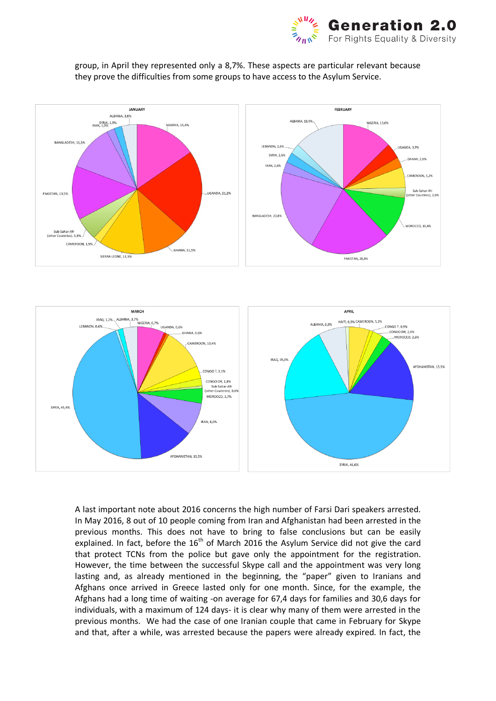







A last important note about 2016 concerns the high number of Farsi Dari speakers arrested. In May 2016, 8 out of 10 people coming from Iran and Afghanistan had been arrested in the previous months. This does not have to bring to false conclusions but can be easily explained. In fact, before the  $16<sup>th</sup>$  of March 2016 the Asylum Service did not give the card that protect TCNs from the police but gave only the appointment for the registration. However, the time between the successful Skype call and the appointment was very long lasting and, as already mentioned in the beginning, the "paper" given to Iranians and Afghans once arrived in Greece lasted only for one month. Since, for the example, the Afghans had a long time of waiting -on average for 67,4 days for families and 30,6 days for individuals, with a maximum of 124 days- it is clear why many of them were arrested in the previous months. We had the case of one Iranian couple that came in February for Skype and that, after a while, was arrested because the papers were already expired. In fact, the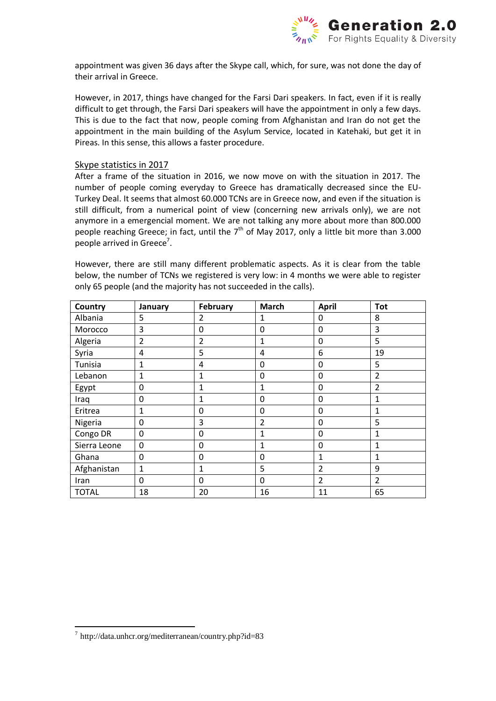

appointment was given 36 days after the Skype call, which, for sure, was not done the day of their arrival in Greece.

However, in 2017, things have changed for the Farsi Dari speakers. In fact, even if it is really difficult to get through, the Farsi Dari speakers will have the appointment in only a few days. This is due to the fact that now, people coming from Afghanistan and Iran do not get the appointment in the main building of the Asylum Service, located in Katehaki, but get it in Pireas. In this sense, this allows a faster procedure.

#### Skype statistics in 2017

After a frame of the situation in 2016, we now move on with the situation in 2017. The number of people coming everyday to Greece has dramatically decreased since the EU-Turkey Deal. It seems that almost 60.000 TCNs are in Greece now, and even if the situation is still difficult, from a numerical point of view (concerning new arrivals only), we are not anymore in a emergencial moment. We are not talking any more about more than 800.000 people reaching Greece; in fact, until the  $7<sup>th</sup>$  of May 2017, only a little bit more than 3.000 people arrived in Greece<sup>7</sup>.

However, there are still many different problematic aspects. As it is clear from the table below, the number of TCNs we registered is very low: in 4 months we were able to register only 65 people (and the majority has not succeeded in the calls).

| Country      | January        | February       | <b>March</b>   | <b>April</b>   | <b>Tot</b>     |
|--------------|----------------|----------------|----------------|----------------|----------------|
| Albania      | 5              | $\overline{2}$ | 1              | 0              | 8              |
| Morocco      | 3              | 0              | 0              | 0              | 3              |
| Algeria      | $\overline{2}$ | 2              | 1              | 0              | 5              |
| Syria        | 4              | 5              | $\overline{4}$ | 6              | 19             |
| Tunisia      | 1              | 4              | $\mathbf 0$    | $\mathbf 0$    | 5              |
| Lebanon      | 1              | $\mathbf{1}$   | 0              | $\mathbf{0}$   | $\overline{2}$ |
| Egypt        | 0              | 1              | 1              | $\mathbf{0}$   | $\overline{2}$ |
| Iraq         | 0              | 1              | 0              | 0              | 1              |
| Eritrea      | 1              | 0              | 0              | 0              | 1              |
| Nigeria      | 0              | 3              | $\overline{2}$ | 0              | 5              |
| Congo DR     | $\mathbf{0}$   | $\Omega$       | 1              | $\Omega$       | $\mathbf{1}$   |
| Sierra Leone | 0              | $\Omega$       | 1              | $\mathbf{0}$   | $\mathbf{1}$   |
| Ghana        | 0              | $\Omega$       | 0              | $\mathbf{1}$   | $\mathbf{1}$   |
| Afghanistan  | 1              | 1              | 5              | $\overline{2}$ | 9              |
| Iran         | 0              | 0              | 0              | $\overline{2}$ | 2              |
| <b>TOTAL</b> | 18             | 20             | 16             | 11             | 65             |

-

<sup>7</sup> http://data.unhcr.org/mediterranean/country.php?id=83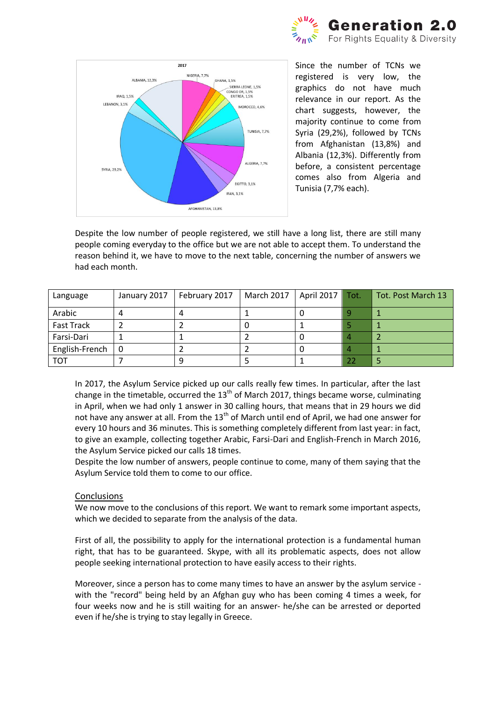



Since the number of TCNs we registered is very low, the graphics do not have much relevance in our report. As the chart suggests, however, the majority continue to come from Syria (29,2%), followed by TCNs from Afghanistan (13,8%) and Albania (12,3%). Differently from before, a consistent percentage comes also from Algeria and Tunisia (7,7% each).

Despite the low number of people registered, we still have a long list, there are still many people coming everyday to the office but we are not able to accept them. To understand the reason behind it, we have to move to the next table, concerning the number of answers we had each month.

| Language          | January 2017 | February 2017 | March 2017 | April 2017 | Tot. | Tot. Post March 13 |
|-------------------|--------------|---------------|------------|------------|------|--------------------|
| Arabic            |              |               |            |            |      |                    |
| <b>Fast Track</b> |              |               |            |            |      |                    |
| Farsi-Dari        |              |               |            |            |      |                    |
| English-French    | - 0          |               |            |            |      |                    |
| <b>TOT</b>        |              |               |            |            | 22   |                    |

In 2017, the Asylum Service picked up our calls really few times. In particular, after the last change in the timetable, occurred the  $13<sup>th</sup>$  of March 2017, things became worse, culminating in April, when we had only 1 answer in 30 calling hours, that means that in 29 hours we did not have any answer at all. From the  $13<sup>th</sup>$  of March until end of April, we had one answer for every 10 hours and 36 minutes. This is something completely different from last year: in fact, to give an example, collecting together Arabic, Farsi-Dari and English-French in March 2016, the Asylum Service picked our calls 18 times.

Despite the low number of answers, people continue to come, many of them saying that the Asylum Service told them to come to our office.

#### **Conclusions**

We now move to the conclusions of this report. We want to remark some important aspects, which we decided to separate from the analysis of the data.

First of all, the possibility to apply for the international protection is a fundamental human right, that has to be guaranteed. Skype, with all its problematic aspects, does not allow people seeking international protection to have easily access to their rights.

Moreover, since a person has to come many times to have an answer by the asylum service with the "record" being held by an Afghan guy who has been coming 4 times a week, for four weeks now and he is still waiting for an answer- he/she can be arrested or deported even if he/she is trying to stay legally in Greece.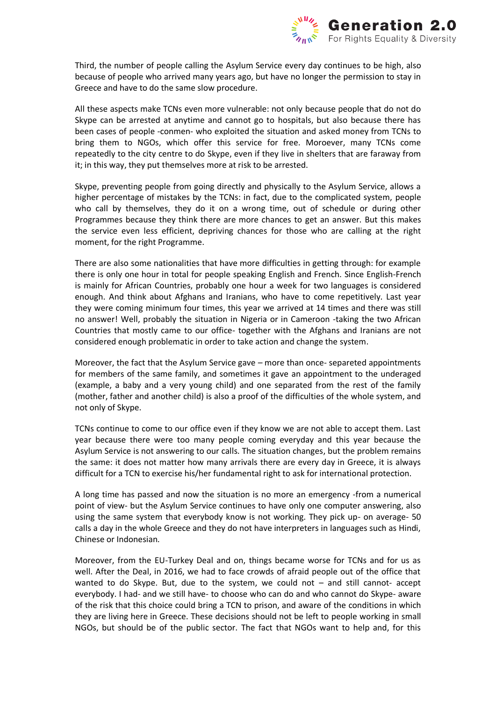

Third, the number of people calling the Asylum Service every day continues to be high, also because of people who arrived many years ago, but have no longer the permission to stay in Greece and have to do the same slow procedure.

All these aspects make TCNs even more vulnerable: not only because people that do not do Skype can be arrested at anytime and cannot go to hospitals, but also because there has been cases of people -conmen- who exploited the situation and asked money from TCNs to bring them to NGOs, which offer this service for free. Moroever, many TCNs come repeatedly to the city centre to do Skype, even if they live in shelters that are faraway from it; in this way, they put themselves more at risk to be arrested.

Skype, preventing people from going directly and physically to the Asylum Service, allows a higher percentage of mistakes by the TCNs: in fact, due to the complicated system, people who call by themselves, they do it on a wrong time, out of schedule or during other Programmes because they think there are more chances to get an answer. But this makes the service even less efficient, depriving chances for those who are calling at the right moment, for the right Programme.

There are also some nationalities that have more difficulties in getting through: for example there is only one hour in total for people speaking English and French. Since English-French is mainly for African Countries, probably one hour a week for two languages is considered enough. And think about Afghans and Iranians, who have to come repetitively. Last year they were coming minimum four times, this year we arrived at 14 times and there was still no answer! Well, probably the situation in Nigeria or in Cameroon -taking the two African Countries that mostly came to our office- together with the Afghans and Iranians are not considered enough problematic in order to take action and change the system.

Moreover, the fact that the Asylum Service gave – more than once- separeted appointments for members of the same family, and sometimes it gave an appointment to the underaged (example, a baby and a very young child) and one separated from the rest of the family (mother, father and another child) is also a proof of the difficulties of the whole system, and not only of Skype.

TCNs continue to come to our office even if they know we are not able to accept them. Last year because there were too many people coming everyday and this year because the Asylum Service is not answering to our calls. The situation changes, but the problem remains the same: it does not matter how many arrivals there are every day in Greece, it is always difficult for a TCN to exercise his/her fundamental right to ask for international protection.

A long time has passed and now the situation is no more an emergency -from a numerical point of view- but the Asylum Service continues to have only one computer answering, also using the same system that everybody know is not working. They pick up- on average- 50 calls a day in the whole Greece and they do not have interpreters in languages such as Hindi, Chinese or Indonesian.

Moreover, from the EU-Turkey Deal and on, things became worse for TCNs and for us as well. After the Deal, in 2016, we had to face crowds of afraid people out of the office that wanted to do Skype. But, due to the system, we could not – and still cannot- accept everybody. I had- and we still have- to choose who can do and who cannot do Skype- aware of the risk that this choice could bring a TCN to prison, and aware of the conditions in which they are living here in Greece. These decisions should not be left to people working in small NGOs, but should be of the public sector. The fact that NGOs want to help and, for this